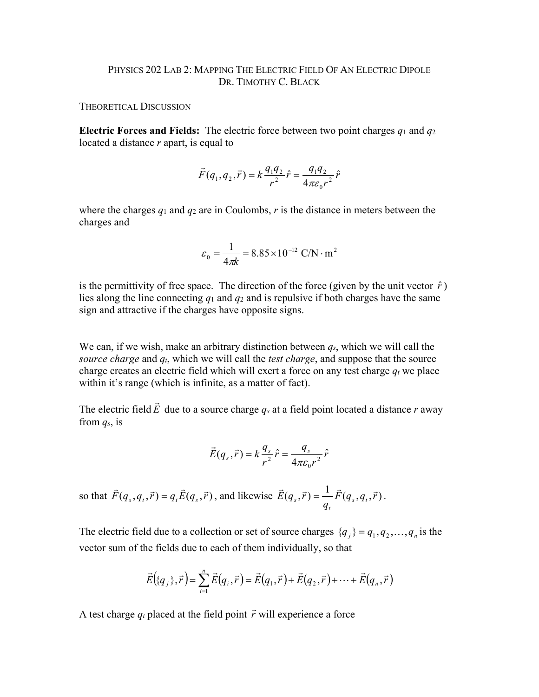## PHYSICS 202 LAB 2: MAPPING THE ELECTRIC FIELD OF AN ELECTRIC DIPOLE DR. TIMOTHY C. BLACK

THEORETICAL DISCUSSION

**Electric Forces and Fields:** The electric force between two point charges *q*<sup>1</sup> and *q*<sup>2</sup> located a distance *r* apart, is equal to

$$
\vec{F}(q_1, q_2, \vec{r}) = k \frac{q_1 q_2}{r^2} \hat{r} = \frac{q_1 q_2}{4\pi \varepsilon_0 r^2} \hat{r}
$$

where the charges  $q_1$  and  $q_2$  are in Coulombs,  $r$  is the distance in meters between the charges and

$$
\varepsilon_0 = \frac{1}{4\pi k} = 8.85 \times 10^{-12} \text{ C/N} \cdot \text{m}^2
$$

is the permittivity of free space. The direction of the force (given by the unit vector  $\hat{r}$ ) lies along the line connecting *q*<sup>1</sup> and *q*<sup>2</sup> and is repulsive if both charges have the same sign and attractive if the charges have opposite signs.

We can, if we wish, make an arbitrary distinction between *qs*, which we will call the *source charge* and *qt*, which we will call the *test charge*, and suppose that the source charge creates an electric field which will exert a force on any test charge  $q_t$  we place within it's range (which is infinite, as a matter of fact).

The electric field  $\vec{E}$  due to a source charge  $q_s$  at a field point located a distance *r* away from *qs*, is

$$
\vec{E}(q_s, \vec{r}) = k \frac{q_s}{r^2} \hat{r} = \frac{q_s}{4\pi \varepsilon_0 r^2} \hat{r}
$$

so that  $\vec{F}(q_s, q_t, \vec{r}) = q_t \vec{E}(q_s, \vec{r})$ , and likewise  $\vec{E}(q_s, \vec{r}) = \frac{1}{\pi} \vec{F}(q_s, q_t, \vec{r})$  $E(q_s, \vec{r}) = \frac{1}{q_t} F(q_s, q_t)$ *t*  $\vec{E}(q_s, \vec{r}) = \frac{1}{\pi} \vec{F}(q_s, q_t, \vec{r}).$ 

The electric field due to a collection or set of source charges  $\{q_i\} = q_1, q_2, \ldots, q_n$  is the vector sum of the fields due to each of them individually, so that

$$
\vec{E}((q_j), \vec{r}) = \sum_{i=1}^n \vec{E}(q_i, \vec{r}) = \vec{E}(q_1, \vec{r}) + \vec{E}(q_2, \vec{r}) + \dots + \vec{E}(q_n, \vec{r})
$$

A test charge  $q_t$  placed at the field point  $\vec{r}$  will experience a force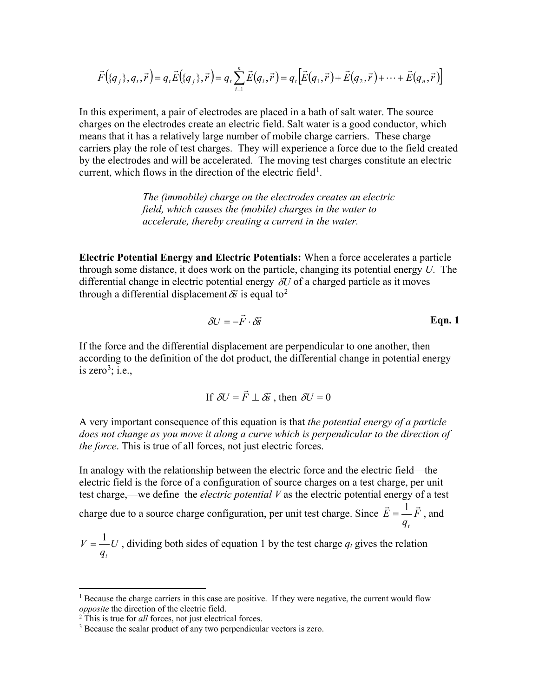$$
\vec{F}(\{q_{j}\},q_{t},\vec{r})=q_{t}\vec{E}(\{q_{j}\},\vec{r})=q_{t}\sum_{i=1}^{n}\vec{E}(q_{i},\vec{r})=q_{t}[\vec{E}(q_{1},\vec{r})+\vec{E}(q_{2},\vec{r})+\cdots+\vec{E}(q_{n},\vec{r})]
$$

In this experiment, a pair of electrodes are placed in a bath of salt water. The source charges on the electrodes create an electric field. Salt water is a good conductor, which means that it has a relatively large number of mobile charge carriers. These charge carriers play the role of test charges. They will experience a force due to the field created by the electrodes and will be accelerated. The moving test charges constitute an electric current, which flows in the direction of the electric field<sup>[1](#page-1-0)</sup>.

> *The (immobile) charge on the electrodes creates an electric field, which causes the (mobile) charges in the water to accelerate, thereby creating a current in the water.*

**Electric Potential Energy and Electric Potentials:** When a force accelerates a particle through some distance, it does work on the particle, changing its potential energy *U*. The differential change in electric potential energy δ*U* of a charged particle as it moves through a differential displacement  $\delta \vec{s}$  is equal to<sup>[2](#page-1-1)</sup>

$$
\delta U = -\vec{F} \cdot \delta \vec{s}
$$
 Eqn. 1

If the force and the differential displacement are perpendicular to one another, then according to the definition of the dot product, the differential change in potential energy is zero<sup>[3](#page-1-2)</sup>; i.e.,

If 
$$
\delta U = \vec{F} \perp \delta \vec{s}
$$
, then  $\delta U = 0$ 

A very important consequence of this equation is that *the potential energy of a particle*  does not change as you move it along a curve which is perpendicular to the direction of *the force*. This is true of all forces, not just electric forces.

In analogy with the relationship between the electric force and the electric field—the electric field is the force of a configuration of source charges on a test charge, per unit test charge,—we define the *electric potential V* as the electric potential energy of a test

charge due to a source charge configuration, per unit test charge. Since  $E = \frac{1}{\epsilon}F$ *q E t*  $\vec{E} = \frac{1}{\vec{F}}$ , and

*U q V t*  $=\frac{1}{n}U$ , dividing both sides of equation 1 by the test charge  $q_t$  gives the relation

<span id="page-1-0"></span> $1$  Because the charge carriers in this case are positive. If they were negative, the current would flow *opposite* the direction of the electric field.

<span id="page-1-2"></span><span id="page-1-1"></span><sup>&</sup>lt;sup>2</sup> This is true for *all* forces, not just electrical forces.<br><sup>3</sup> Because the scalar product of any two perpendicular vectors is zero.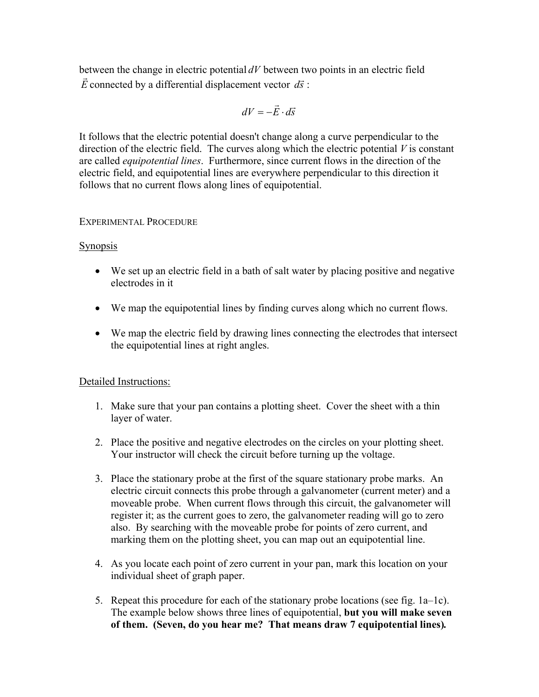between the change in electric potential  $dV$  between two points in an electric field  $\vec{E}$  connected by a differential displacement vector  $d\vec{s}$ :

$$
dV = -\vec{E} \cdot d\vec{s}
$$

It follows that the electric potential doesn't change along a curve perpendicular to the direction of the electric field. The curves along which the electric potential *V* is constant are called *equipotential lines*. Furthermore, since current flows in the direction of the electric field, and equipotential lines are everywhere perpendicular to this direction it follows that no current flows along lines of equipotential.

## EXPERIMENTAL PROCEDURE

## **Synopsis**

- We set up an electric field in a bath of salt water by placing positive and negative electrodes in it
- We map the equipotential lines by finding curves along which no current flows.
- We map the electric field by drawing lines connecting the electrodes that intersect the equipotential lines at right angles.

## Detailed Instructions:

- 1. Make sure that your pan contains a plotting sheet. Cover the sheet with a thin layer of water.
- 2. Place the positive and negative electrodes on the circles on your plotting sheet. Your instructor will check the circuit before turning up the voltage.
- 3. Place the stationary probe at the first of the square stationary probe marks. An electric circuit connects this probe through a galvanometer (current meter) and a moveable probe. When current flows through this circuit, the galvanometer will register it; as the current goes to zero, the galvanometer reading will go to zero also. By searching with the moveable probe for points of zero current, and marking them on the plotting sheet, you can map out an equipotential line.
- 4. As you locate each point of zero current in your pan, mark this location on your individual sheet of graph paper.
- 5. Repeat this procedure for each of the stationary probe locations (see fig. 1a–1c). The example below shows three lines of equipotential, **but you will make seven of them. (Seven, do you hear me? That means draw 7 equipotential lines)***.*